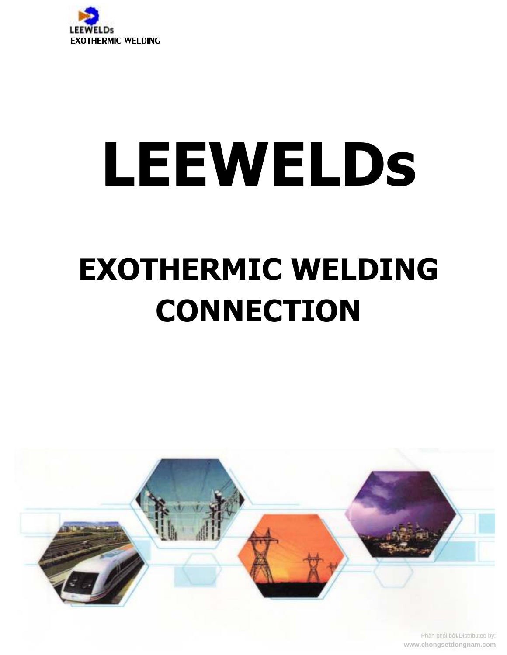

# LEEWELDS

# **EXOTHERMIC WELDING CONNECTION**



Phân phối bởi/Distributed by: www.chongsetdongnam.com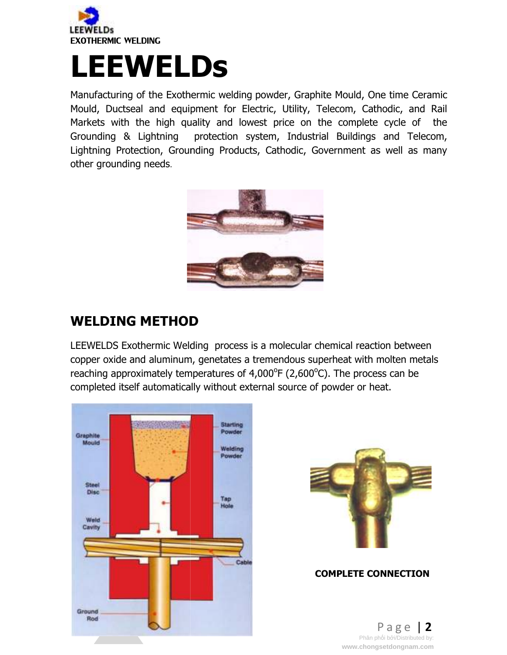

## **LEEWELDs**

Manufacturing of the Exothermic welding powder, Graphite Mould, One time Ceramic Mould, Ductseal and equipment for Electric, Utility, Telecom, Cathodic, and Rail Markets with the high quality and lowest price on the complete cycle of the Grounding & Lightning Lightning Protection, Grounding Products, Cathodic, Government as well as many other grounding needs. protection system, Industrial Buildings and Telecom,



## **WELDING METHOD**

LEEWELDS Exothermic Welding process is a molecular chemical reaction between LEEWELDS Exothermic Welding process is a molecular chemical reaction between<br>copper oxide and aluminum, genetates a tremendous superheat with molten metals reaching approximately temperatures of  $4,000^{\circ}F(2,600^{\circ}C)$ . The process can be completed itself automatically without external source of powder or heat.





#### **COMPLETE CONNECTION**

P a g e e | **2** Phân phối bởi/Distributed by:<br>www.chongsetdongnam.com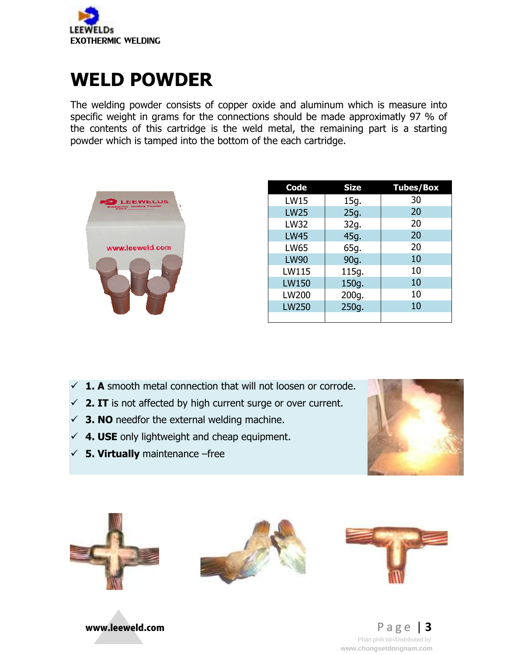

## **WELD POWDER**

The welding powder consists of copper oxide and aluminum which is measure into specific weight in grams for the connections should be made approximatly 97 % of the contents of this cartridge is the weld metal, the remaining part is a starting powder which is tamped into the bottom of the each cartridge.



| welding powder consists of copper oxide and aluminum which is measure into<br>fic weight in grams for the connections should be made approximatly 97 % of<br>contents of this cartridge is the weld metal, the remaining part is a starting<br>ler which is tamped into the bottom of the each cartridge. |                                                                                                                                                         |                                                                                                 |                                                                              |
|-----------------------------------------------------------------------------------------------------------------------------------------------------------------------------------------------------------------------------------------------------------------------------------------------------------|---------------------------------------------------------------------------------------------------------------------------------------------------------|-------------------------------------------------------------------------------------------------|------------------------------------------------------------------------------|
| www.leeweld.com                                                                                                                                                                                                                                                                                           | <b>Code</b><br><b>LW15</b><br><b>LW25</b><br><b>LW32</b><br><b>LW45</b><br><b>LW65</b><br><b>LW90</b><br>LW115<br><b>LW150</b><br>LW200<br><b>LW250</b> | <b>Size</b><br>15g.<br>25g.<br>32g.<br>45g.<br>65g.<br>90g.<br>115g.<br>150g.<br>200g.<br>250g. | <b>Tubes/Box</b><br>30<br>20<br>20<br>20<br>20<br>10<br>10<br>10<br>10<br>10 |
| <b>A</b> smooth metal connection that will not loosen or corrode.<br>. IT is not affected by high current surge or over current.<br>. NO needfor the external welding machine.<br>. USE only lightweight and cheap equipment.<br>. Virtually maintenance -free                                            |                                                                                                                                                         |                                                                                                 |                                                                              |

- $\checkmark$  **1. A** smooth metal connection that will not loosen or corrode.
- $\checkmark$  **2. IT** is not affected by high current surge or over current.
- $\checkmark$  **3. NO** needfor the external welding machine.
- **4. USE** only lightweight and cheap equipment.
- **5. Virtually** maintenance











P a g e e | **3** Phân phối bởi/Distributed by:<br>www.chongsetdongnam.com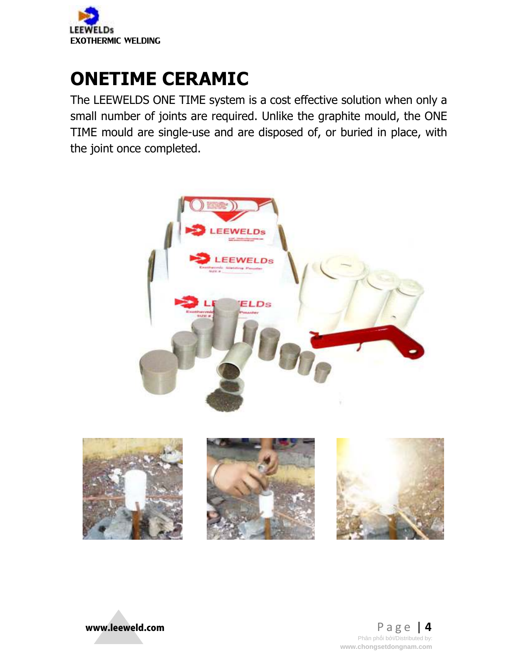

## **ONETIME CERAMIC**

The LEEWELDS ONE TIME system is a cost effective solution when only a small number of joints are required. Unlike the graphite mould, the ONE TIME mould are single-use and are disposed of, or buried in place, with the joint once completed.







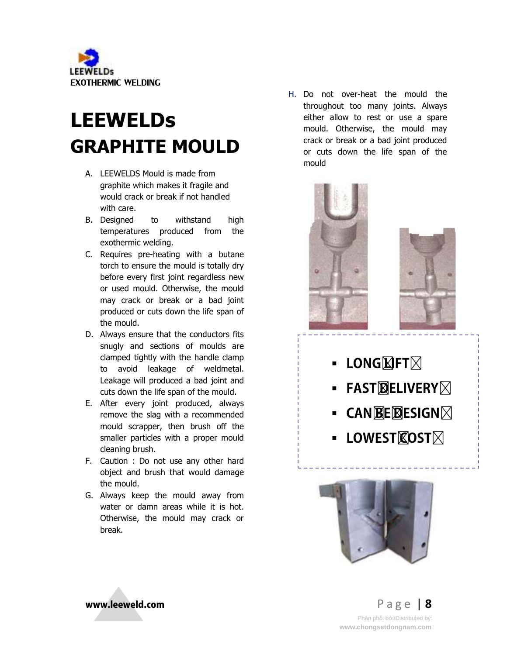

## **LEEWELDs GRAPHITE MOULD**

- A. LEEWELDS Mould is made from LEEWELDS Mould is made from<br>graphite which makes it fragile and would crack or break if not handled with care.
- B. Designed to withstand high temperatures produced from the exothermic welding.
- C. Requires pre-heating with a butane torch to ensure the mould is totally dry before every first joint regardless new or used mould. Otherwise, the mould may crack or break or a bad joint produced or cuts down the life span of the mould. would crack or break if not handled<br>with care.<br>Designed to withstand high<br>temperatures produced from the<br>exothermic welding.<br>Requires pre-heating with a butane<br>torch to ensure the mould is totally dry<br>before every first jo
- D. Always ensure that the conductors fits snugly and sections of moulds are clamped tightly with the handle clamp to avoid leakage of weldmetal. Leakage will produced a bad joint and cuts down the life span of the mould.
- E. After every joint produced, always remove the slag with a recommended mould scrapper, then brush off the smaller particles with a proper mould cleaning brush.
- F. Caution : Do not use any other hard object and brush that would damage the mould.
- G. Always keep the mould away from water or damn areas while it is hot. Otherwise, the mould may crack or break.

throughout too many joints. Always either allow to rest or use a spare mould. Otherwise, the mould may crack or break or a bad joint produced or cuts down the life span of the mould H. Do not over-heat the mould the



- **LONG**ET $\boxtimes$
- **FASTDELIVERY FASTDELIVERY**
- -**CANBEDESIGN CANBEDESIGN**
- **LOWEST** COST  $\boxtimes$



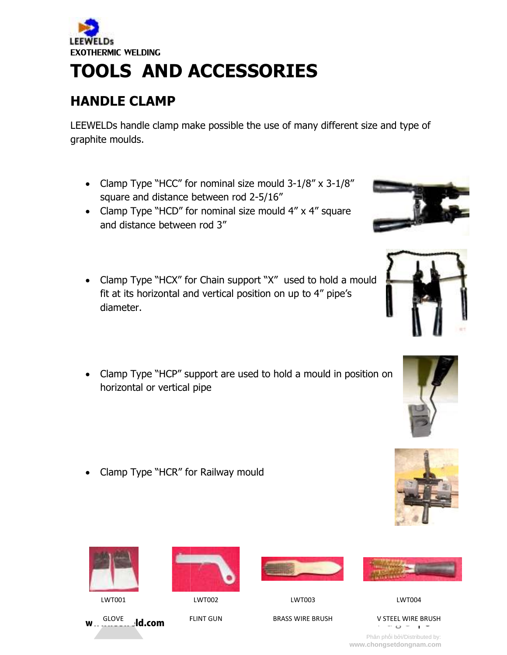

## **TOOLS AND ACCESSORIES**

## **HANDLE CLAMP**

LEEWELDs handle clamp make possible the use of many different size and type of graphite moulds. WELDs handle clamp make possible the use of many different:<br>phite moulds.<br>• Clamp Type "HCC" for nominal size mould 3-1/8" x 3-1/8"

- square and distance between rod 2 square and 2-5/16"
- Clamp Type "HCD" for nominal size mould 4" x 4" square and distance between rod 3" • Clamp Type "HCD" for nominal size mould 4" x 4" square<br>and distance between rod 3"<br>• Clamp Type "HCX" for Chain support "X" used to hold a mould
- fit at its horizontal and vertical position on up to  $4''$  pipe's diameter.
- Clamp Type "HCP" support are used to hold a mould in position on horizontal or vertical pipe Type "HCP" support are used to hold a mould in<br>tal or vertical pipe<br>Type "HCR" for Railway mould
- Clamp Type "HCR" for Railway mould



 $w_{\text{max}}$ slove ld.com





**FLINT GUN** 

LWT002













Phân phối bởi/Distributed by:<br>www.chongsetdongnam.com







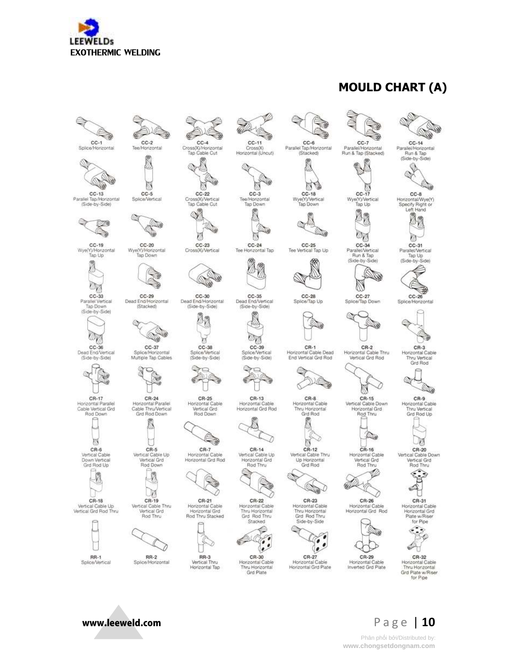

### **MOULD CHART (A)**



Splice/Horizontal



 $CC-13$ Parallel Tap/Horizontal (Side-by-Side)



 $CC-19$ Wye(Y)/Horizontal



 $CC-33$ Parallel Vertical<br>Tap Down (Side-by-Side)



Dead End/Vertical (Side-by-Side)



N

 $CR-6$ 

Vertical Cable

Down Vertical<br>Grd Rod Up

Ø

CR-18

Vertical Cable Up<br>Vertical Grd Rod Thru

**RR-1** 

Splice/Vertical

CR-17 Horizontal Parallel<br>Cable Vertical Grd Horizontal Parallel<br>Cable Thru/Vertical Rod Down



 $CR-5$ Vertical Cable Up<br>Vertical Grd<br>Rod Down



CR-19 Vertical Cable Thru<br>Vertical Grd Rod Thru



 $RR-2$ Splice/Horizontal

www.leeweld.com



Cross(X)/Horizontal<br>Tap Cable Cut

 $CC-2$ 

Tee/Horizontal

 $CC-5$ 

Splice/Vertical

 $CC-20$ 

Wve(Y)/Horizontal

Tap Down

CC-29<br>Dead End/Horizontal

(Stacked)

14

 $\sim$ 

 $CC-37$ 

Splice/Horizontal

Multiple Tap Cables

CR-24

Grd Rod Down

3

Q



 $CC-3$ Tee/Horizontal Tap Down

60

 $CC-11$ 

Cross(X)<br>Horizontal (Uncut)

w



 $CC-24$ Tee Horizontal Tap 傍

U



 $CC-28$ Splice/Tap Up

 $CR-1$ Horizontal Cable Dead

End Vertical Grd Rod



Horizontal Cable<br>Thru Horizontal Grd Rod



Up Horizontal<br>Grd Rod





Horizontal Cable<br>Thru Horizontal<br>Grd Plate





Horizontal Cable<br>Horizontal Grd Plate



 $CC-6$ 

Parallel Tap/Horizontal

12

 $CC-18$ 

Wye(Y)/Vertical

Tap Down

 $CC-25$ 

Tee Vertical Tap Up

僟

B

 $CC-7$ 

 $CC-17$ 

儆

Øñ

o,

 $CC-34$ 

Parallel/Vertical<br>Run & Tap

(Side-by-Side)

CC-27<br>Splice/Tap Down

 $CR-2$ 

Horizontal Cable Thru

Vertical Grd Rod

N

CR-15

Vertical Cable Down

Horizontal Grd

Rod Thru

A.

 $CR-16$ 

Horizontal Cable

Vertical Grd<br>Rod Thru

ß V8



rizontal

 $CC-8$ Wye(Y)/Vertical<br>Tap Up Horizontal/Wve(Y) Specify Right or<br>Left Hand



٧

 $CC-31$ Parallel/Vertical Tap Up (Side-by-Side)



 $CR-3$ Horizontal Cable Thru Vertical<br>Grd Rod



 $CR-9$ Horizontal Cable<br>Thru Vertical Grd Rod Up



CR-20 Vertical Cable Down Vertical Grd<br>Rod Thru



u CR-31 Horizontal Cable<br>Horizontal Grd



CR-32 Horizontal Cable<br>Thru Horizontal<br>Grd Plate w/Riser





Phân phối bởi/Distributed by: www.chongsetdongnam.com



 $CC-23$ Cross(X)/Vertical

W CC-30<br>Dead End/Horizontal (Side-by-Side)

80

T.

 $CC-38$ 

Splice/Vertical

(Side-by-Side)

CR-25

Horizontal Cable

Vertical Grd

Rod Down

CR-7<br>Horizontal Cable

Horizontal Grd Rod

 $RR-3$ 

Vertical Thru

Horizontal Tap

€

73

CC-35<br>Dead End/Vertical (Side-by-Side) 66

᠙ **Dy** 

 $CC-39$ Splice/Vertical<br>(Side-by-Side) ê

a.



C)



CR-14 Vertical Cable Up Horizontal Grd<br>Rod Thru





CR-30















CR-27

⊛ CR-26

Horizontal Cable<br>Horizontal Grd Rod



Inverted Grd Plate

**Service**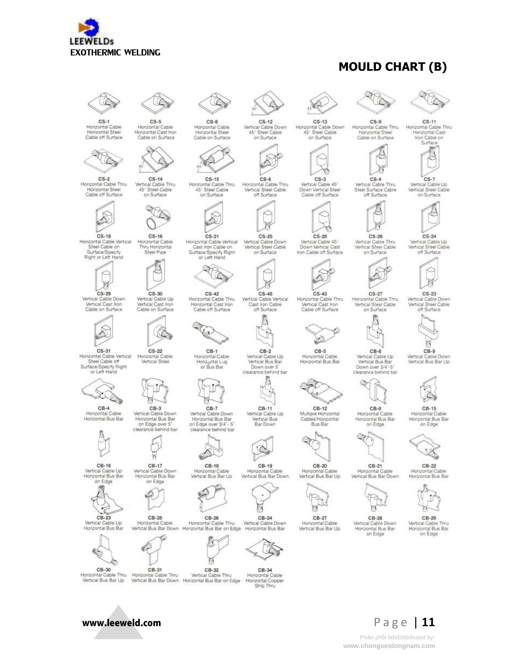

#### **MOULD CHART (B)**



 $CS-1$ Horizontal Cable Horizontal Steel Cable off Surface

 $CS-18$ 

Surface/Specify

Right or Left Hand

◇

 $CS-29$ 

Steel Cable off



 $CS-2$ Horizontal Cable Thru Vertical Cable Thru Horizontal Steel<br>Cable off Surface 45° Steel Cable<br>on Surface



 $CS-5$ 

Horizontal Cable

Horizontal Cast Iron

Cable on Surface

Horizontal Cable Vertical<br>Steel Cable on Horizontal Cable<br>Thru Horizontal Steel Pipe



Vertical Cable Down<br>Vertical Cast Iron Vertical Cable Up<br>Vertical Cast Iron Cable on Surface Cable on Surface



CS-31<br>Horizontal Cable Vertical  $CS-22$ Horizontal Cable Vertical Steel Surface/Specify Right<br>or Left Hand



 $CB-3$ Vertical Cable Down<br>Horizontal Bus Bar Horizontal Cable Horizontal Bus Bar on Edge over 5



 $CB-16$ Vertical Cable Up<br>Horizontal Bus Bar on Edge

В



Vertical Cable Un Horizontal Bus Bar



www.leeweld.com

CB-30 Horizontal Cable Thru Vertical Bus Bar Up



त्रह

 $CB-17$ 

Vertical Cable Down<br>Horizontal Bus Bar

on Edge €

 $CB-25$ 

Horizontal Cable

Vertical Bus Bar Down Horizontal Bus Bar on Edge





 $CS-21$ 

or Left Hand

 $CS-42$ 

Cable off Surface

 $CB-1$ 

Horizontal Cable

Horiz<sub>o</sub>ntal Lug<br>or Bus Bar

देॄ ×

 $CS-6$ Horizontal Cable Thru Horizontal Cable Thru 45° Steel Cable Vertical Steel Cable<br>off Surface on Surface

 $CS-25$ 

Horizontal Cable Vertical<br>Cast Iron Cable on Vertical Cable Down<br>Vertical Steel Cable Surface/Specify Right on Surface



CS-45<br>Vertical Cable Vertical Cast Iron Cable Horizontal Cast Iron off Surface



 $CB-2$ Vertical Cable Up Vertical Bus Bar Down over 5 clearance behind bar

Б



CB-11 Vertical Cable Down<br>Horizontal Bus Bar Vertical Cable Up<br>Vertical Bus Bar Down



 $CB-19$ Horiz Cable Vertical Bus Bar Down



 $CB-24$ Vertical Cable Down Vertical Bus Bar Down Horizontal Bus Bar on Edge Horizontal Bus Bar

CB-34 Horizontal Cable<br>Horizontal Copper Strip Thru

 $CS - 12$ 

Vertical Cable Down

45° Steel Cable

on Surface



on Surface

 $CS-28$ 

Vertical Cable 45\*<br>Down Vertical Cast

Iron Cable off Surface

 $CS-43$ 

Horizontal Cable Thru<br>Vertical Cast Iron

Cable off Surface

 $CB-5$ 

Horizontal Cable

Horizontal Bus Bar

 $CB-12$ 

Multiple Horizontal<br>Cables/Horizontal

Bus Bar

 $CS.9$ Horizontal Cable Thru 45° Steel Cable Horizontal Steel





 $CS-3$ Vertical Cable 45 Down Vertical Steel<br>Cable off Surface

 $CS-4$ Vertical Cable Thru<br>Steel Surface Cable



 $CS-26$ 

 $CS-27$ 

Horizontal Cable Thru

Vertical Steel Cable

on Surface

 $CB-6$ 

Vertical Cable Up

Vertical Bus Bar

Down over 3/4"-5"

clearance behind bar

 $CB-8$ 

Horizontal Cable<br>Horizontal Bus Bar

on Edge



 $CS-23$ Vertical Cable Down Vertical Steel Cable

 $CS-11$ 

Horizontal Cable Thru

Honzontal Cast

Iron Cable on Surface

 $CS-7$ 

Vertical Cable Up

Vertical Steel Cable

on Surface

 $CS-24$ 

Vertical Cable Up<br>Vertical Steel Cable

off Surface



Vertical Cable Down Vertical Bus Bar Up



Horizontal Cable Honzontal Bus Bar on Edge



 $CB-21$ Cable Vertical Bus Bar Down





 $CB-29$ 



Horiz

 $\mathbb{R}$ 

 $CB-27$ Vertical Bus Bar Up

CB-28 Vertical Cable Down<br>Horizontal Bus Bar on Edge

Hon







CB-15



 $CB-22$ Horizon Horizontal Bus Bar









Phân phối bởi/Distributed by: www.chongsetdongnam.com

on Edge over 3/4"- 5 clearance behind bar

Cable





CB-32

Vertical Cable Thru

缆

Horizo

 $CB-26$ Horizontal Cable Thru

Horizontal Cable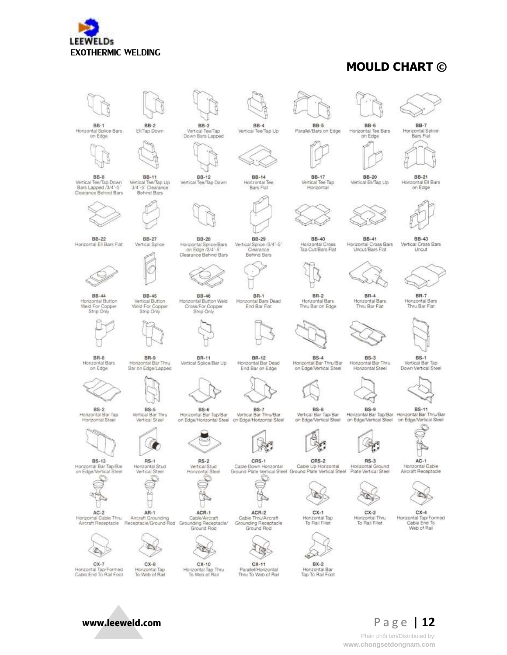

#### **MOULD CHART ©**





Horizontal Cable



 $RS-2$ Horizontal Stud<br>Vertical Steel Vertical Stud<br>Horizontal Steel



 $\infty$ 

۹  $CX-11$ 

Parallel/Honzontal<br>Thru To Web of Rail

Grounding Receptacle<br>Ground Rod

C

CRS-1

ACR-2<br>Cable Thru/Aircraft

Cable Down Horizontal Cable Up Horizontal<br>Ground Plate Vertical Steel Ground Plate Vertical Steel

é  $BX-2$ 

Horizontal Bar<br>Tap To Rail Foot

C

CRS-2

 $CX-1$ 

Horizontal Tap<br>To Rail Fillet

C  $RS-3$ Horizontal Ground

Horizontal Thru<br>To Rail Fifet

 $AC-1$ Plate Vertical Steel







 $CX-7$ Honzontal Tap/Formed<br>Cable End To Rail Foot

**BS-13** 

Honzontal Bar Tap/Bar<br>on Edge/Vertical Steel

Horizontal Cable Thru



 $RS-1$ 

 $CX-10$ Horizontal Tap Thru<br>To Web of Rail





BS-1<br>Vertical Bar Tap

Down Vertical Steel

**BB-21** Horizontal Ell Bars on Edge









**BS-11** 



Aircraft Receptacle



 $CX-4$ Horzontal Tap/Formed<br>Cable End To Web of Rail

Page | 12